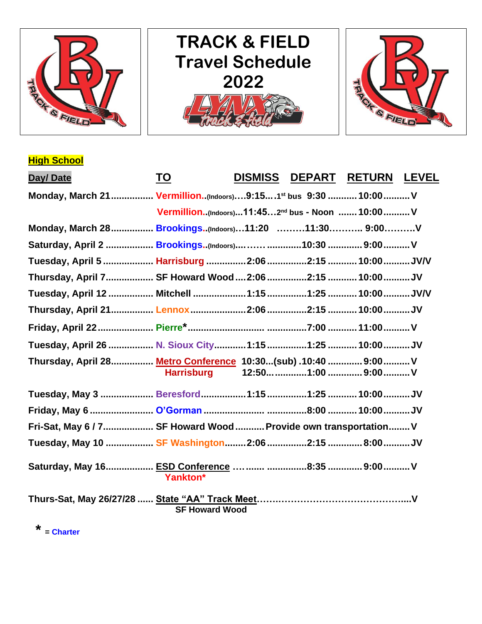

## **TRACK & FIELD Travel Schedule 2022**





## **High School**

| Day/Date                                                                    | TO                                                          | DISMISS DEPART RETURN LEVEL |  |
|-----------------------------------------------------------------------------|-------------------------------------------------------------|-----------------------------|--|
| Monday, March 21  Vermillion(Indoors)9:151 <sup>st</sup> bus 9:30  10:00  V |                                                             |                             |  |
|                                                                             | Vermillion(Indoors)11:452 <sup>nd</sup> bus - Noon  10:00 V |                             |  |
| Monday, March 28 Brookings(Indoors)11:20 11:30 9:00V                        |                                                             |                             |  |
| Saturday, April 2  Brookings(Indoors)  10:30  9:00  V                       |                                                             |                             |  |
| Tuesday, April 5  Harrisburg 2:06 2:15  10:00  JV/V                         |                                                             |                             |  |
| Thursday, April 7 SF Howard Wood2:062:15 10:00 JV                           |                                                             |                             |  |
|                                                                             |                                                             |                             |  |
|                                                                             |                                                             |                             |  |
|                                                                             |                                                             |                             |  |
| Tuesday, April 26  N. Sioux City  1:15 1:25  10:00  JV                      |                                                             |                             |  |
| Thursday, April 28 Metro Conference 10:30(sub) .10:40  9:00 V               | Harrisburg 12:50 1:00  9:00  V                              |                             |  |
| Tuesday, May 3  Beresford1:15 1:25  10:00  JV                               |                                                             |                             |  |
|                                                                             |                                                             |                             |  |
| Fri-Sat, May 6 / 7 SF Howard Wood  Provide own transportation V             |                                                             |                             |  |
| Tuesday, May 10  SF Washington 2:06 2:15  8:00  JV                          |                                                             |                             |  |
| Saturday, May 16 ESD Conference   8:35  9:00  V                             | Yankton*                                                    |                             |  |
|                                                                             | <b>SF Howard Wood</b>                                       |                             |  |

 **\* = Charter**